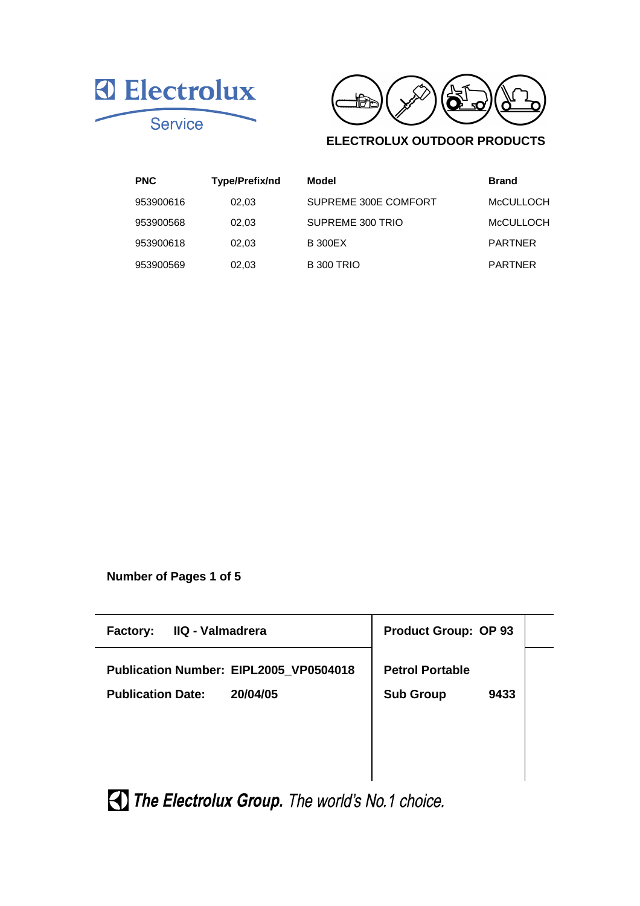



## **ELECTROLUX OUTDOOR PRODUCTS**

| <b>PNC</b> | Type/Prefix/nd | <b>Model</b>         | <b>Brand</b>     |
|------------|----------------|----------------------|------------------|
| 953900616  | 02.03          | SUPREME 300E COMFORT | <b>MCCULLOCH</b> |
| 953900568  | 02.03          | SUPREME 300 TRIO     | <b>McCULLOCH</b> |
| 953900618  | 02.03          | <b>B</b> 300 EX      | <b>PARTNER</b>   |
| 953900569  | 02.03          | <b>B 300 TRIO</b>    | <b>PARTNER</b>   |

**Number of Pages 1 of 5**

| IIQ - Valmadrera<br><b>Factory:</b>                                            | <b>Product Group: OP 93</b>                        |  |
|--------------------------------------------------------------------------------|----------------------------------------------------|--|
| Publication Number: EIPL2005_VP0504018<br><b>Publication Date:</b><br>20/04/05 | <b>Petrol Portable</b><br><b>Sub Group</b><br>9433 |  |

The Electrolux Group. The world's No.1 choice.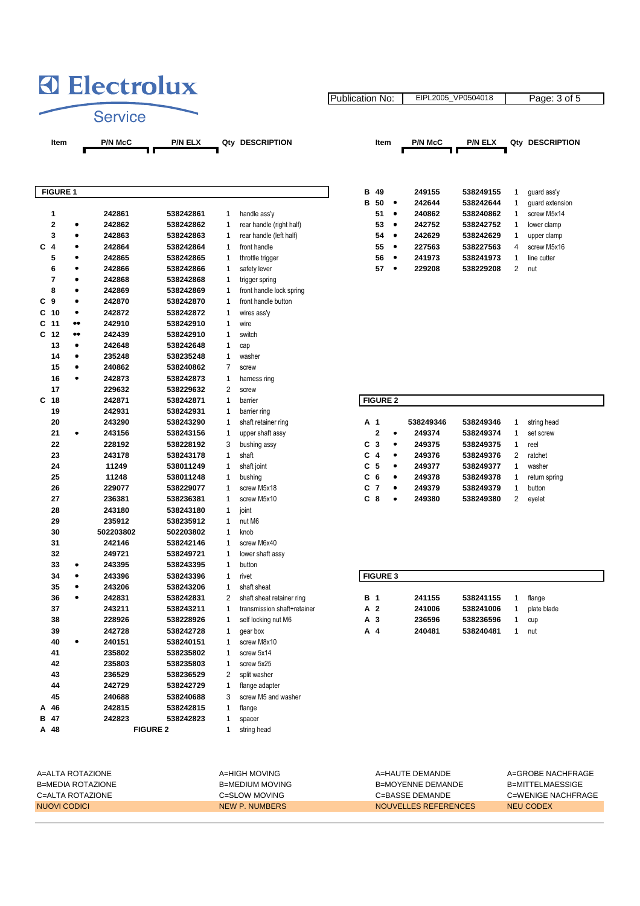

|                         | <b>FIGURE 1</b> |           |                 |                |                             | в          | 49              |           | 249155    | 538249155 | 1              | guard ass'y   |
|-------------------------|-----------------|-----------|-----------------|----------------|-----------------------------|------------|-----------------|-----------|-----------|-----------|----------------|---------------|
|                         |                 |           |                 |                |                             | в          | 50              | $\bullet$ | 242644    | 538242644 | 1              | guard extens  |
| 1                       |                 | 242861    | 538242861       | 1              | handle ass'y                |            | 51              | $\bullet$ | 240862    | 538240862 | 1              | screw M5x14   |
| $\overline{\mathbf{2}}$ | ٠               | 242862    | 538242862       | 1              | rear handle (right half)    |            | 53              | $\bullet$ | 242752    | 538242752 | 1              | lower clamp   |
| 3                       | $\bullet$       | 242863    | 538242863       | 1              | rear handle (left half)     |            | 54              | $\bullet$ | 242629    | 538242629 | $\mathbf{1}$   | upper clamp   |
| С<br>$\overline{4}$     | ٠               | 242864    | 538242864       | 1              | front handle                |            | 55              | $\bullet$ | 227563    | 538227563 | 4              | screw M5x16   |
| 5                       | $\bullet$       | 242865    | 538242865       | $\mathbf{1}$   | throttle trigger            |            | 56              | $\bullet$ | 241973    | 538241973 | $\mathbf{1}$   | line cutter   |
| 6                       | ٠               | 242866    | 538242866       | $\mathbf{1}$   | safety lever                |            | 57              | $\bullet$ | 229208    | 538229208 | $\overline{2}$ | nut           |
| 7                       | $\bullet$       | 242868    | 538242868       | $\mathbf{1}$   | trigger spring              |            |                 |           |           |           |                |               |
| 8                       | $\bullet$       | 242869    | 538242869       | 1              | front handle lock spring    |            |                 |           |           |           |                |               |
| C <sub>9</sub>          | $\bullet$       | 242870    | 538242870       | 1              | front handle button         |            |                 |           |           |           |                |               |
| C <sub>10</sub>         | ٠               | 242872    | 538242872       | 1              | wires ass'y                 |            |                 |           |           |           |                |               |
| C<br>11                 |                 | 242910    | 538242910       | $\mathbf{1}$   | wire                        |            |                 |           |           |           |                |               |
| C<br>12                 |                 | 242439    | 538242910       | $\mathbf{1}$   | switch                      |            |                 |           |           |           |                |               |
| 13                      | ٠               | 242648    | 538242648       | $\mathbf{1}$   | cap                         |            |                 |           |           |           |                |               |
| 14                      | ٠               | 235248    | 538235248       | $\mathbf{1}$   | washer                      |            |                 |           |           |           |                |               |
| 15                      | ٠               | 240862    | 538240862       | $\overline{7}$ | screw                       |            |                 |           |           |           |                |               |
| 16                      | $\bullet$       | 242873    | 538242873       | $\mathbf{1}$   | harness ring                |            |                 |           |           |           |                |               |
| 17                      |                 | 229632    | 538229632       | $\overline{2}$ | screw                       |            |                 |           |           |           |                |               |
| C<br>18                 |                 | 242871    | 538242871       | $\mathbf{1}$   | barrier                     |            | <b>FIGURE 2</b> |           |           |           |                |               |
| 19                      |                 | 242931    | 538242931       | $\mathbf{1}$   | barrier ring                |            |                 |           |           |           |                |               |
| 20                      |                 | 243290    | 538243290       | 1              | shaft retainer ring         | A 1        |                 |           | 538249346 | 538249346 | 1              | string head   |
| 21                      | ٠               | 243156    | 538243156       | $\mathbf{1}$   | upper shaft assy            |            | $\mathbf 2$     | ٠         | 249374    | 538249374 | $\mathbf{1}$   | set screw     |
| 22                      |                 | 228192    | 538228192       | 3              | bushing assy                | С          | 3               | $\bullet$ | 249375    | 538249375 | $\mathbf{1}$   | reel          |
| 23                      |                 | 243178    | 538243178       | $\mathbf{1}$   | shaft                       | C          | 4               | ٠         | 249376    | 538249376 | $\overline{2}$ | ratchet       |
| 24                      |                 | 11249     | 538011249       | $\mathbf{1}$   | shaft joint                 | C          | -5              | ٠         | 249377    | 538249377 | 1              | washer        |
| 25                      |                 | 11248     | 538011248       | 1              | bushing                     | С          | 6               | $\bullet$ | 249378    | 538249378 | 1              | return spring |
| 26                      |                 | 229077    | 538229077       | 1              | screw M5x18                 | С          | $\overline{7}$  | $\bullet$ | 249379    | 538249379 | 1              | button        |
| 27                      |                 | 236381    | 538236381       | $\mathbf{1}$   | screw M5x10                 | C.         | 8               | $\bullet$ | 249380    | 538249380 | $\mathbf{2}$   | eyelet        |
| 28                      |                 | 243180    | 538243180       | $\mathbf{1}$   | joint                       |            |                 |           |           |           |                |               |
| 29                      |                 | 235912    | 538235912       | $\mathbf{1}$   | nut M6                      |            |                 |           |           |           |                |               |
| 30                      |                 | 502203802 | 502203802       | $\mathbf{1}$   | knob                        |            |                 |           |           |           |                |               |
| 31                      |                 | 242146    |                 | $\mathbf{1}$   |                             |            |                 |           |           |           |                |               |
|                         |                 |           | 538242146       |                | screw M6x40                 |            |                 |           |           |           |                |               |
| 32                      |                 | 249721    | 538249721       | $\mathbf{1}$   | lower shaft assy            |            |                 |           |           |           |                |               |
| 33                      | ٠               | 243395    | 538243395       | $\mathbf{1}$   | button                      |            |                 |           |           |           |                |               |
| 34                      | ٠               | 243396    | 538243396       | $\mathbf{1}$   | rivet                       |            | <b>FIGURE 3</b> |           |           |           |                |               |
| 35                      | ٠               | 243206    | 538243206       | $\mathbf{1}$   | shaft sheat                 |            |                 |           |           |           |                |               |
| 36                      | $\bullet$       | 242831    | 538242831       | $\overline{2}$ | shaft sheat retainer ring   | <b>B</b> 1 |                 |           | 241155    | 538241155 | $\mathbf{1}$   | flange        |
| 37                      |                 | 243211    | 538243211       | 1              | transmission shaft+retainer |            | A 2             |           | 241006    | 538241006 | 1              | plate blade   |
| 38                      |                 | 228926    | 538228926       | 1              | self locking nut M6         |            | A 3             |           | 236596    | 538236596 | 1              | cup           |
| 39                      |                 | 242728    | 538242728       | $\mathbf{1}$   | gear box                    |            | A 4             |           | 240481    | 538240481 | $\mathbf{1}$   | nut           |
| 40                      | $\bullet$       | 240151    | 538240151       | 1              | screw M8x10                 |            |                 |           |           |           |                |               |
| 41                      |                 | 235802    | 538235802       | $\mathbf{1}$   | screw 5x14                  |            |                 |           |           |           |                |               |
| 42                      |                 | 235803    | 538235803       | 1              | screw 5x25                  |            |                 |           |           |           |                |               |
| 43                      |                 | 236529    | 538236529       | $\overline{2}$ | split washer                |            |                 |           |           |           |                |               |
| 44                      |                 | 242729    | 538242729       | $\mathbf{1}$   | flange adapter              |            |                 |           |           |           |                |               |
| 45                      |                 | 240688    | 538240688       | 3              | screw M5 and washer         |            |                 |           |           |           |                |               |
| 46<br>А                 |                 | 242815    | 538242815       | $\mathbf{1}$   | flange                      |            |                 |           |           |           |                |               |
| в<br>47                 |                 | 242823    | 538242823       | 1              | spacer                      |            |                 |           |           |           |                |               |
| A 48                    |                 |           | <b>FIGURE 2</b> | $\mathbf{1}$   | string head                 |            |                 |           |           |           |                |               |

| Item           |           | <b>P/N McC</b> | <b>P/N ELX</b> | Qty | <b>DESCRIPTION</b>       |   | Item |           | <b>P/N McC</b> | <b>P/N ELX</b> |               | Qtv DESCRIPTION |
|----------------|-----------|----------------|----------------|-----|--------------------------|---|------|-----------|----------------|----------------|---------------|-----------------|
| <b>GURE 1</b>  |           |                |                |     |                          | в | -49  |           | 249155         | 538249155      |               | quard ass'y     |
|                |           |                |                |     |                          | в | 50   | $\bullet$ | 242644         | 538242644      |               | quard extension |
| 1              |           | 242861         | 538242861      |     | handle ass'y             |   | 51   | ٠         | 240862         | 538240862      |               | screw M5x14     |
| $\overline{2}$ | $\bullet$ | 242862         | 538242862      |     | rear handle (right half) |   | 53   | $\bullet$ | 242752         | 538242752      |               | lower clamp     |
| 3              | $\bullet$ | 242863         | 538242863      |     | rear handle (left half)  |   | 54   | $\bullet$ | 242629         | 538242629      |               | upper clamp     |
| 4              | $\bullet$ | 242864         | 538242864      |     | front handle             |   | 55   | $\bullet$ | 227563         | 538227563      | 4             | screw M5x16     |
| 5              | ٠         | 242865         | 538242865      |     | throttle trigger         |   | 56   | $\bullet$ | 241973         | 538241973      |               | line cutter     |
| £              |           | <b>212866</b>  | 538242866      |     | eafaty layar             |   | 57   |           | 220208         | 538220208      | $\mathcal{P}$ | nut             |

EIPL2005\_VP0504018 | Page: 3 of 5

Publication No:

| A 1 |                |           | 538249346 | 538249346 | 1              | string head   |
|-----|----------------|-----------|-----------|-----------|----------------|---------------|
|     | $\mathbf{2}$   |           | 249374    | 538249374 | 1              | set screw     |
|     | C <sub>3</sub> | $\bullet$ | 249375    | 538249375 | 1              | reel          |
| C   | 4              | $\bullet$ | 249376    | 538249376 | $\mathfrak{p}$ | ratchet       |
|     | C 5            | $\bullet$ | 249377    | 538249377 | 1              | washer        |
| C.  | 6              | $\bullet$ | 249378    | 538249378 | 1              | return spring |
| C.  | 7              |           | 249379    | 538249379 | 1              | button        |
| C   | 8              |           | 249380    | 538249380 | 2              | evelet        |

| <b>FIGURE 3</b> |        |           |             |
|-----------------|--------|-----------|-------------|
| <b>B</b> 1      | 241155 | 538241155 | flange      |
| A 2             | 241006 | 538241006 | plate blade |
| A 3             | 236596 | 538236596 | cup         |
| A 4             | 240481 | 538240481 | nut         |

| A=ALTA ROTAZIONE  | A=HIGH MOVING   | A=HAUTE DEMANDE           | A=GROBE NACHERAGE  |
|-------------------|-----------------|---------------------------|--------------------|
| B=MEDIA ROTAZIONE | B=MEDIUM MOVING | <b>B</b> =MOYFNNF DFMANDF | B=MITTFLMAFSSIGF   |
| C=ALTA ROTAZIONE  | C=SLOW MOVING   | C=BASSE DEMANDE           | C=WENIGE NACHERAGE |
| NUOVI CODICI      | NEW P. NUMBERS  | NOUVELLES REFERENCES      | NEU CODEX          |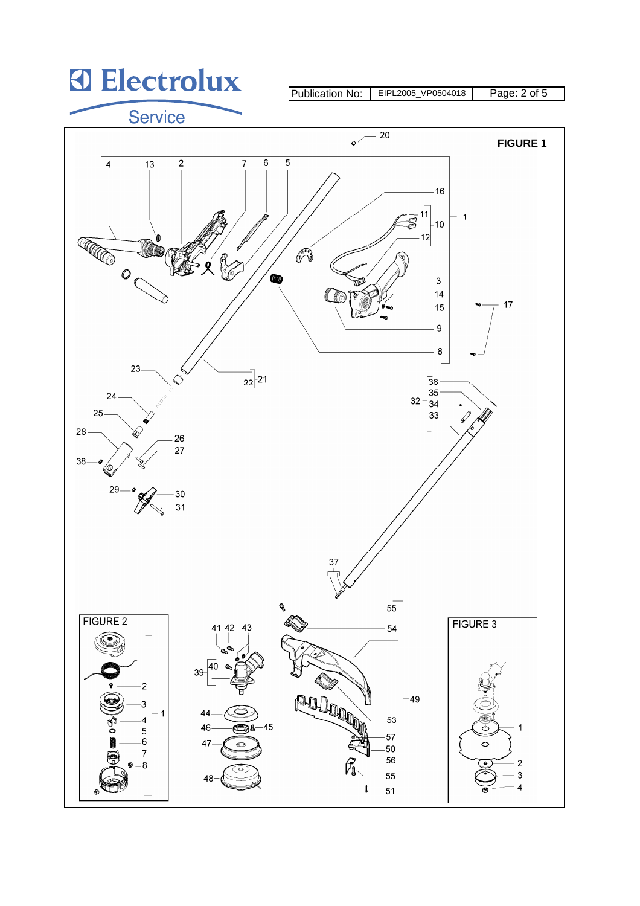## **3** Electrolux

Publication No: EIPL2005\_VP0504018 Page: 2 of 5

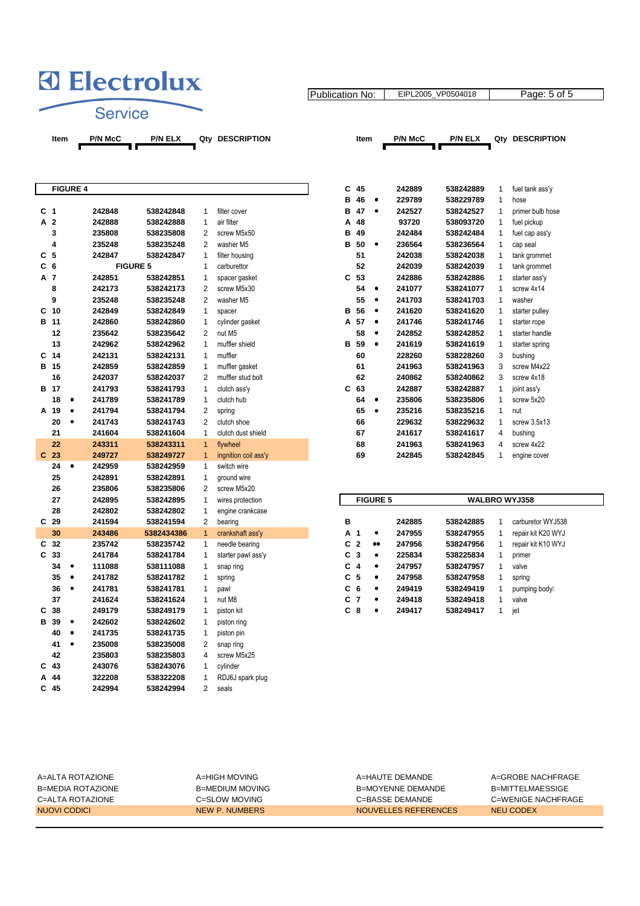## **3** Electrolux

Publication No: EIPL2005\_VP0504018 | Page: 5 of 5

Service

 $\overline{\phantom{a}}$ 

**Item** P/N McC P/N ELX Qty DESCRIPTION **Item** P/N McC P/N ELX Qty DESCRIPTION

| PTION |
|-------|
|       |

| '/N ELX | Otv |  |
|---------|-----|--|

|   |                 |           |                 |            |                |                      | в | 46              | $\bullet$       | 229789 | 538229789 | 1            | hose                 |
|---|-----------------|-----------|-----------------|------------|----------------|----------------------|---|-----------------|-----------------|--------|-----------|--------------|----------------------|
|   | C <sub>1</sub>  |           | 242848          | 538242848  | 1              | filter cover         | в | 47              | $\bullet$       | 242527 | 538242527 | 1            | primer bulb hose     |
| А | $\overline{2}$  |           | 242888          | 538242888  | $\mathbf{1}$   | air filter           | A | 48              |                 | 93720  | 538093720 | 1            | fuel pickup          |
|   | 3               |           | 235808          | 538235808  | $\overline{2}$ | screw M5x50          | B | 49              |                 | 242484 | 538242484 | 1            | fuel cap ass'y       |
|   | 4               |           | 235248          | 538235248  | 2              | washer M5            | в | 50              | $\bullet$       | 236564 | 538236564 | 1            | cap seal             |
| C | 5               |           | 242847          | 538242847  | 1              | filter housing       |   | 51              |                 | 242038 | 538242038 | 1            | tank grommet         |
|   | C <sub>6</sub>  |           | <b>FIGURE 5</b> |            | 1              | carburettor          |   | 52              |                 | 242039 | 538242039 | 1            | tank grommet         |
|   | A 7             |           | 242851          | 538242851  | 1              | spacer gasket        | C | 53              |                 | 242886 | 538242886 | 1            | starter ass'y        |
|   | 8               |           | 242173          | 538242173  | 2              | screw M5x30          |   | 54              | $\bullet$       | 241077 | 538241077 | 1            | screw 4x14           |
|   | 9               |           | 235248          | 538235248  | $\overline{2}$ | washer M5            |   | 55              | $\bullet$       | 241703 | 538241703 | 1            | washer               |
|   | C <sub>10</sub> |           | 242849          | 538242849  | $\mathbf{1}$   | spacer               | в | 56              | $\bullet$       | 241620 | 538241620 | 1            | starter pulley       |
|   | B 11            |           | 242860          | 538242860  | 1              | cylinder gasket      | A | 57              | $\bullet$       | 241746 | 538241746 | 1            | starter rope         |
|   | 12              |           | 235642          | 538235642  | $\overline{2}$ | nut M5               |   | 58              | $\bullet$       | 242852 | 538242852 | 1            | starter handle       |
|   | 13              |           | 242962          | 538242962  | $\mathbf{1}$   | muffler shield       | в | 59              | $\bullet$       | 241619 | 538241619 | 1            | starter spring       |
| C | -14             |           | 242131          | 538242131  | 1              | muffler              |   | 60              |                 | 228260 | 538228260 | 3            | bushing              |
|   | B 15            |           | 242859          | 538242859  | 1              | muffler gasket       |   | 61              |                 | 241963 | 538241963 | 3            | screw M4x22          |
|   | 16              |           | 242037          | 538242037  | $\overline{2}$ | muffler stud bolt    |   | 62              |                 | 240862 | 538240862 | 3            | screw 4x18           |
|   | B 17            |           | 241793          | 538241793  | 1              | clutch ass'y         | C | 63              |                 | 242887 | 538242887 | 1            | joint ass'y          |
|   | 18              | $\bullet$ | 241789          | 538241789  | 1              | clutch hub           |   | 64              | $\bullet$       | 235806 | 538235806 | 1            | screw 5x20           |
|   | A 19            | $\bullet$ | 241794          | 538241794  | 2              | spring               |   | 65              | $\bullet$       | 235216 | 538235216 | $\mathbf{1}$ | nut                  |
|   | 20              | $\bullet$ | 241743          | 538241743  | $\overline{2}$ | clutch shoe          |   | 66              |                 | 229632 | 538229632 | 1            | screw 3.5x13         |
|   | 21              |           | 241604          | 538241604  | $\mathbf{1}$   | clutch dust shield   |   | 67              |                 | 241617 | 538241617 | 4            | bushing              |
|   | 22              |           | 243311          | 538243311  | $\mathbf{1}$   | flywheel             |   | 68              |                 | 241963 | 538241963 | 4            | screw 4x22           |
|   | C <sub>23</sub> |           | 249727          | 538249727  | 1              | ingnition coil ass'y |   | 69              |                 | 242845 | 538242845 | 1            | engine cover         |
|   | 24              | $\bullet$ | 242959          | 538242959  | $\mathbf{1}$   | switch wire          |   |                 |                 |        |           |              |                      |
|   | 25              |           | 242891          | 538242891  | 1              | ground wire          |   |                 |                 |        |           |              |                      |
|   | 26              |           | 235806          | 538235806  | 2              | screw M5x20          |   |                 |                 |        |           |              |                      |
|   | 27              |           | 242895          | 538242895  | 1              | wires protection     |   |                 | <b>FIGURE 5</b> |        |           |              | <b>WALBRO WYJ358</b> |
|   | 28              |           | 242802          | 538242802  | 1              | engine crankcase     |   |                 |                 |        |           |              |                      |
|   | C <sub>29</sub> |           | 241594          | 538241594  | 2              | bearing              | B |                 |                 | 242885 | 538242885 | 1            | carburetor WYJ538    |
|   | 30              |           | 243486          | 5382434386 | $\mathbf{1}$   | crankshaft ass'y     | A | 1               | $\bullet$       | 247955 | 538247955 | $\mathbf{1}$ | repair kit K20 WYJ   |
|   | C <sub>32</sub> |           | 235742          | 538235742  | $\mathbf{1}$   | needle bearing       | C | $\overline{2}$  |                 | 247956 | 538247956 | 1            | repair kit K10 WYJ   |
| C | 33              |           | 241784          | 538241784  | 1              | starter pawl ass'y   | C | 3               | $\bullet$       | 225834 | 538225834 | 1            | primer               |
|   | 34              | $\bullet$ | 111088          | 538111088  | 1              | snap ring            | C | 4               | $\bullet$       | 247957 | 538247957 | 1            | valve                |
|   | 35              | $\bullet$ | 241782          | 538241782  | 1              | spring               | C | 5               | $\bullet$       | 247958 | 538247958 | 1            | spring               |
|   | 36              | $\bullet$ | 241781          | 538241781  | 1              | pawl                 | C | $6\phantom{1}6$ | $\bullet$       | 249419 | 538249419 | 1            | pumping body,        |
|   | 37              |           | 241624          | 538241624  | 1              | nut M8               | C | $\overline{7}$  | $\bullet$       | 249418 | 538249418 | 1            | valve                |
| C | 38              |           | 249179          | 538249179  | $\mathbf{1}$   | piston kit           | C | -8              | $\bullet$       | 249417 | 538249417 | $\mathbf{1}$ | jet                  |
| в | 39              | $\bullet$ | 242602          | 538242602  | 1              | piston ring          |   |                 |                 |        |           |              |                      |
|   | 40              | $\bullet$ | 241735          | 538241735  | 1              | piston pin           |   |                 |                 |        |           |              |                      |
|   | 41              | $\bullet$ | 235008          | 538235008  | $\overline{2}$ | snap ring            |   |                 |                 |        |           |              |                      |
|   | 42              |           | 235803          | 538235803  | 4              | screw M5x25          |   |                 |                 |        |           |              |                      |
| С | 43              |           | 243076          | 538243076  | 1              | cylinder             |   |                 |                 |        |           |              |                      |
| Α | 44              |           | 322208          | 538322208  | 1              | RDJ6J spark plug     |   |                 |                 |        |           |              |                      |
|   | $C$ 45          |           | 242994          | 538242994  | $\overline{2}$ | seals                |   |                 |                 |        |           |              |                      |
|   |                 |           |                 |            |                |                      |   |                 |                 |        |           |              |                      |

|    | <b>FIGURE 4</b> |        |                 |                |                      | C | 45 |           | 242889 | 538242889 |   | fuel tank ass'y  |
|----|-----------------|--------|-----------------|----------------|----------------------|---|----|-----------|--------|-----------|---|------------------|
|    |                 |        |                 |                |                      | в | 46 | ٠         | 229789 | 538229789 | 1 | hose             |
| 1  |                 | 242848 | 538242848       | 1              | filter cover         | в | 47 | ٠         | 242527 | 538242527 |   | primer bulb hose |
| 2  |                 | 242888 | 538242888       | 1              | air filter           | A | 48 |           | 93720  | 538093720 |   | fuel pickup      |
| 3  |                 | 235808 | 538235808       | 2              | screw M5x50          | в | 49 |           | 242484 | 538242484 |   | fuel cap ass'y   |
| 4  |                 | 235248 | 538235248       | 2              | washer M5            | в | 50 | ٠         | 236564 | 538236564 |   | cap seal         |
| 5  |                 | 242847 | 538242847       | 1              | filter housing       |   | 51 |           | 242038 | 538242038 |   | tank grommet     |
| 6  |                 |        | <b>FIGURE 5</b> | 1              | carburettor          |   | 52 |           | 242039 | 538242039 |   | tank grommet     |
| 7  |                 | 242851 | 538242851       | 1              | spacer gasket        | C | 53 |           | 242886 | 538242886 |   | starter ass'y    |
| 8  |                 | 242173 | 538242173       | 2              | screw M5x30          |   | 54 | ٠         | 241077 | 538241077 |   | screw 4x14       |
| 9  |                 | 235248 | 538235248       | 2              | washer M5            |   | 55 | ٠         | 241703 | 538241703 |   | washer           |
| 10 |                 | 242849 | 538242849       | 1              | spacer               | в | 56 | ٠         | 241620 | 538241620 |   | starter pulley   |
| 11 |                 | 242860 | 538242860       | 1              | cylinder gasket      | A | 57 | ٠         | 241746 | 538241746 |   | starter rope     |
| 12 |                 | 235642 | 538235642       | 2              | nut M5               |   | 58 | $\bullet$ | 242852 | 538242852 | 1 | starter handle   |
| 13 |                 | 242962 | 538242962       | 1              | muffler shield       | в | 59 | $\bullet$ | 241619 | 538241619 |   | starter spring   |
| 14 |                 | 242131 | 538242131       | 1              | muffler              |   | 60 |           | 228260 | 538228260 | 3 | bushing          |
| 15 |                 | 242859 | 538242859       | 1              | muffler gasket       |   | 61 |           | 241963 | 538241963 | 3 | screw M4x22      |
| 16 |                 | 242037 | 538242037       | 2              | muffler stud bolt    |   | 62 |           | 240862 | 538240862 | 3 | screw 4x18       |
| 17 |                 | 241793 | 538241793       | 1              | clutch ass'y         | C | 63 |           | 242887 | 538242887 |   | joint ass'y      |
| 18 |                 | 241789 | 538241789       | 1              | clutch hub           |   | 64 | ٠         | 235806 | 538235806 |   | screw 5x20       |
| 19 |                 | 241794 | 538241794       | 2              | spring               |   | 65 | $\bullet$ | 235216 | 538235216 | 1 | nut              |
| 20 |                 | 241743 | 538241743       | $\overline{2}$ | clutch shoe          |   | 66 |           | 229632 | 538229632 |   | screw 3.5x13     |
| 21 |                 | 241604 | 538241604       | 1              | clutch dust shield   |   | 67 |           | 241617 | 538241617 | 4 | bushing          |
| 22 |                 | 243311 | 538243311       | 1              | flywheel             |   | 68 |           | 241963 | 538241963 | 4 | screw 4x22       |
| 23 |                 | 249727 | 538249727       | 1              | ingnition coil ass'y |   | 69 |           | 242845 | 538242845 |   | engine cover     |

|     |                | <b>FIGURE 5</b>  |        | <b>WALBRO WYJ358</b> |   |                    |
|-----|----------------|------------------|--------|----------------------|---|--------------------|
|     |                |                  |        |                      |   |                    |
| в   |                |                  | 242885 | 538242885            | 1 | carburetor WYJ538  |
| А   | -1             | ٠                | 247955 | 538247955            | 1 | repair kit K20 WYJ |
| C   | - 2            | $\bullet\bullet$ | 247956 | 538247956            | 1 | repair kit K10 WYJ |
| C 3 |                | $\bullet$        | 225834 | 538225834            | 1 | primer             |
| C   | 4              | $\bullet$        | 247957 | 538247957            | 1 | valve              |
| C 5 |                | $\bullet$        | 247958 | 538247958            | 1 | spring             |
| C   | 6              | ٠                | 249419 | 538249419            | 1 | pumping body,      |
| C   | $\overline{7}$ | ٠                | 249418 | 538249418            | 1 | valve              |
| C   | 8              | ٠                | 249417 | 538249417            |   | jet                |

| A=ALTA ROTAZIONE  | A=HIGH MOVING   | A=HAUTE DEMANDE      | A=GROBE NACHFRAGE  |
|-------------------|-----------------|----------------------|--------------------|
| B=MEDIA ROTAZIONE | B=MEDIUM MOVING | B=MOYENNE DEMANDE    | B=MITTELMAESSIGE   |
| C=ALTA ROTAZIONE  | C=SLOW MOVING   | C=BASSE DEMANDE      | C=WENIGE NACHFRAGE |
| NUOVI CODICI      | NEW P. NUMBERS  | NOUVELLES REFERENCES | NEU CODEX          |
|                   |                 |                      |                    |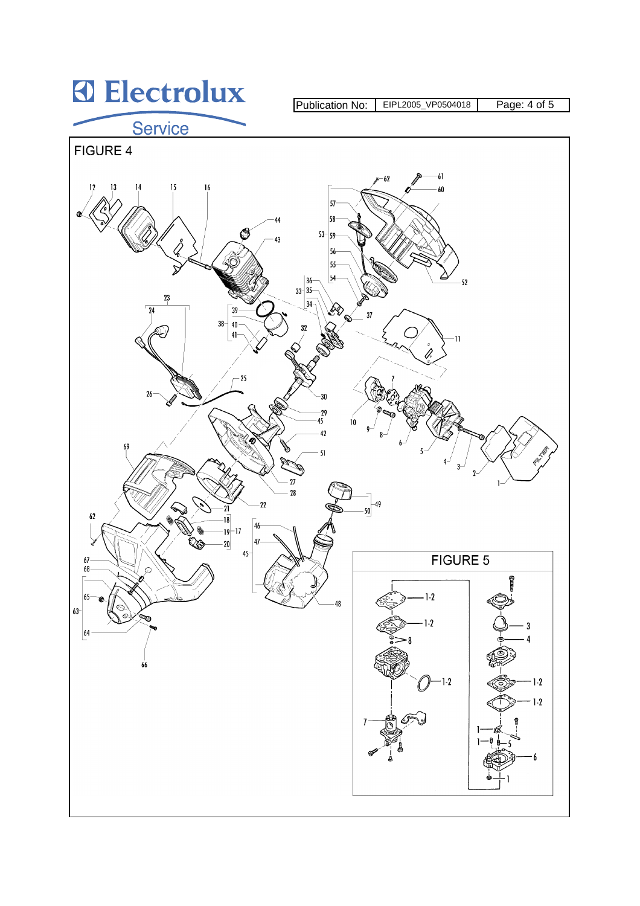